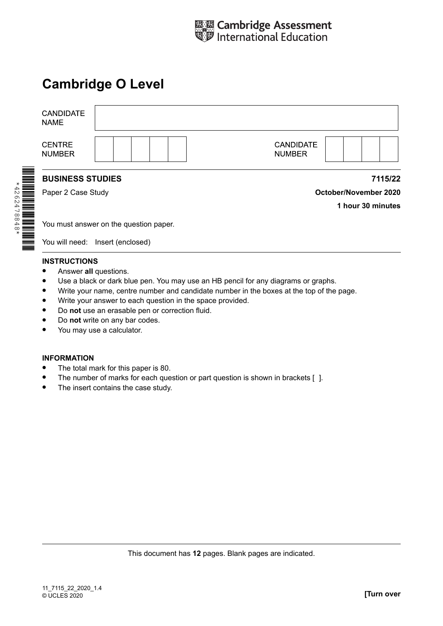

# **Cambridge O Level**

| <b>CANDIDATE</b><br><b>NAME</b> |                                        |                                   |
|---------------------------------|----------------------------------------|-----------------------------------|
| <b>CENTRE</b><br><b>NUMBER</b>  |                                        | <b>CANDIDATE</b><br><b>NUMBER</b> |
| <b>BUSINESS STUDIES</b>         |                                        | 7115/22                           |
| Paper 2 Case Study              |                                        | October/November 2020             |
|                                 |                                        | 1 hour 30 minutes                 |
|                                 | You must answer on the question paper. |                                   |
| You will need:                  | Insert (enclosed)                      |                                   |

#### **INSTRUCTIONS**

- **•** Answer **all** questions.
- **•** Use a black or dark blue pen. You may use an HB pencil for any diagrams or graphs.
- **•** Write your name, centre number and candidate number in the boxes at the top of the page.
- **•** Write your answer to each question in the space provided.
- **•** Do **not** use an erasable pen or correction fluid.
- **•** Do **not** write on any bar codes.<br>• You may use a calculator
- **•** You may use a calculator.

#### **INFORMATION**

- **•** The total mark for this paper is 80.
- The number of marks for each question or part question is shown in brackets [ ].<br>• The insert contains the case study.
- **•** The insert contains the case study.

This document has **12** pages. Blank pages are indicated.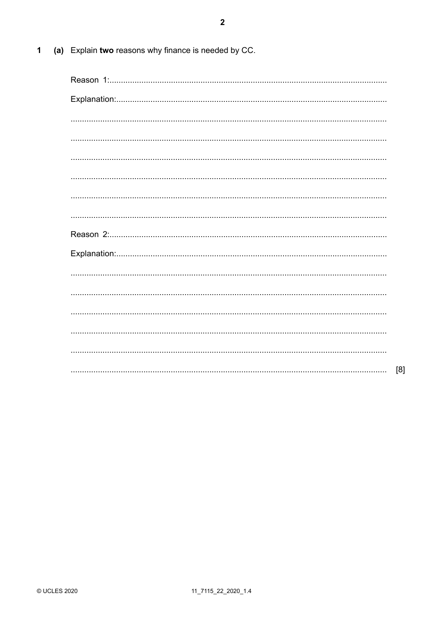$\overline{2}$ 

|  |  |  | 1 (a) Explain two reasons why finance is needed by CC. |  |
|--|--|--|--------------------------------------------------------|--|
|--|--|--|--------------------------------------------------------|--|

| [8] |
|-----|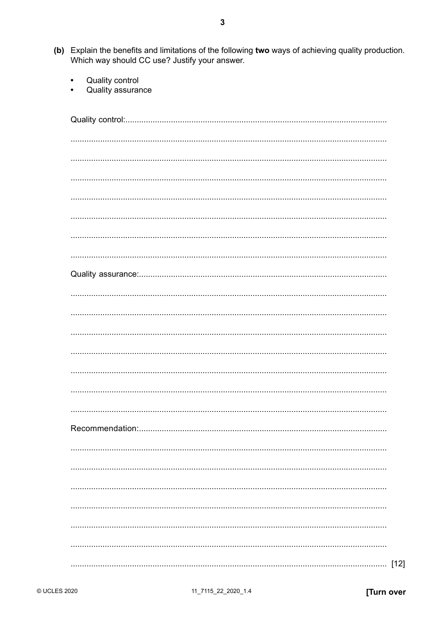- (b) Explain the benefits and limitations of the following two ways of achieving quality production.<br>Which way should CC use? Justify your answer.
	- Quality control  $\bullet$
	- Quality assurance  $\bullet$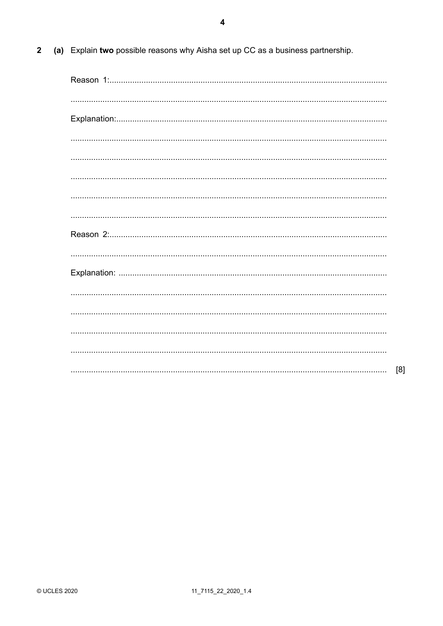(a) Explain two possible reasons why Aisha set up CC as a business partnership.  $\overline{\mathbf{2}}$ 

| [8] |
|-----|

© UCLES 2020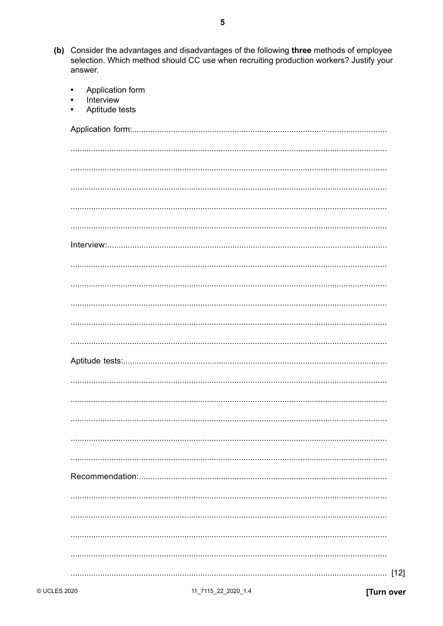- (b) Consider the advantages and disadvantages of the following three methods of employee selection. Which method should CC use when recruiting production workers? Justify your answer.
	- Application form  $\bullet$
	- Interview  $\bullet$
	- Aptitude tests  $\bullet$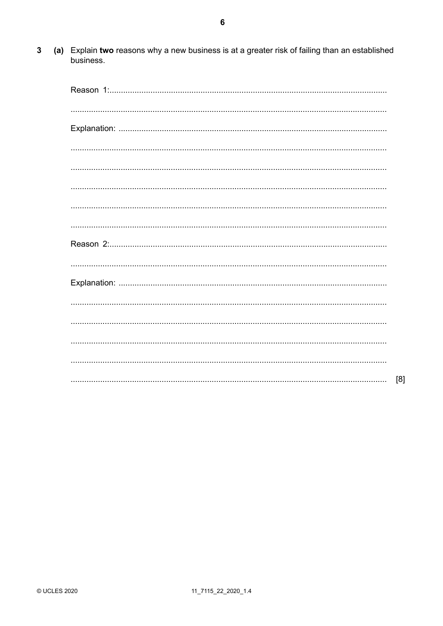(a) Explain two reasons why a new business is at a greater risk of failing than an established business.  $\overline{\mathbf{3}}$ 

| [8] |
|-----|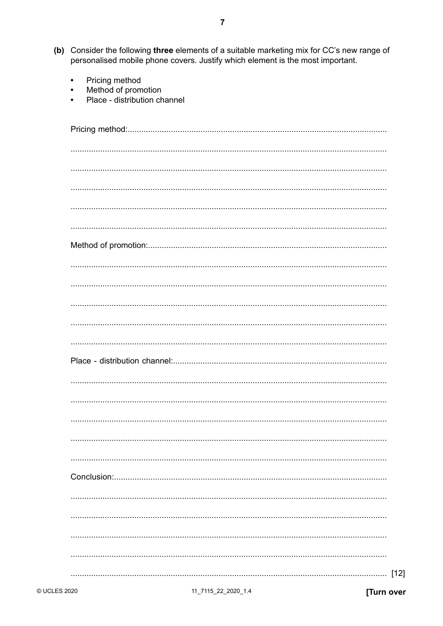- (b) Consider the following three elements of a suitable marketing mix for CC's new range of personalised mobile phone covers. Justify which element is the most important.
	- Pricing method  $\bullet$
	- Method of promotion  $\bullet$
	- Place distribution channel  $\bullet$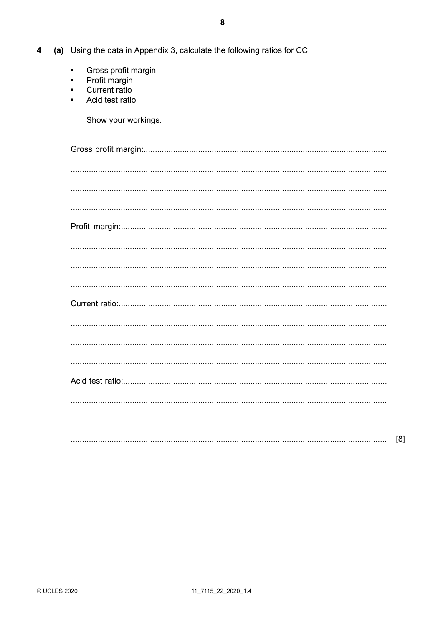| Gross profit margin<br>Profit margin<br>Current ratio<br>Acid test ratio |     |
|--------------------------------------------------------------------------|-----|
| Show your workings.                                                      |     |
|                                                                          |     |
|                                                                          |     |
|                                                                          |     |
|                                                                          |     |
|                                                                          |     |
|                                                                          |     |
|                                                                          |     |
|                                                                          |     |
|                                                                          |     |
|                                                                          |     |
|                                                                          |     |
|                                                                          |     |
|                                                                          |     |
|                                                                          |     |
|                                                                          |     |
|                                                                          | [8] |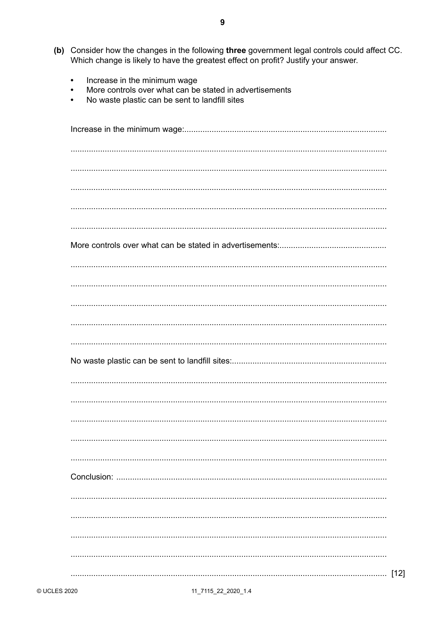- (b) Consider how the changes in the following three government legal controls could affect CC.<br>Which change is likely to have the greatest effect on profit? Justify your answer.
	- Increase in the minimum wage  $\bullet$
	- More controls over what can be stated in advertisements  $\bullet$
	- No waste plastic can be sent to landfill sites  $\bullet$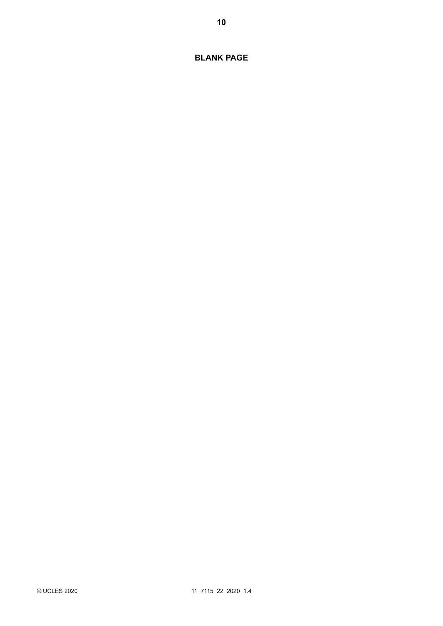## **BLANK PAGE**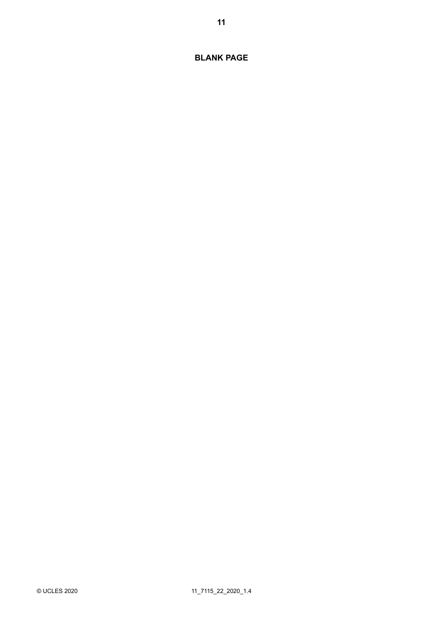## **BLANK PAGE**